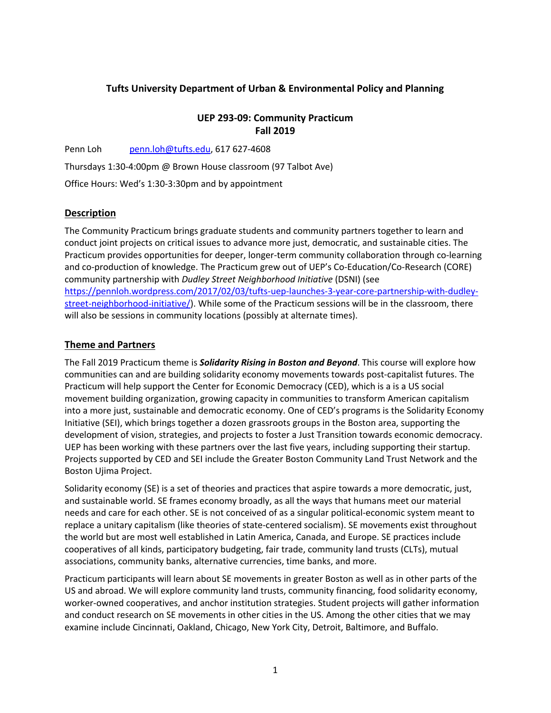# **Tufts University Department of Urban & Environmental Policy and Planning**

## **UEP 293-09: Community Practicum Fall 2019**

Penn Loh penn.loh@tufts.edu, 617 627-4608

Thursdays 1:30-4:00pm @ Brown House classroom (97 Talbot Ave)

Office Hours: Wed's 1:30-3:30pm and by appointment

#### **Description**

The Community Practicum brings graduate students and community partners together to learn and conduct joint projects on critical issues to advance more just, democratic, and sustainable cities. The Practicum provides opportunities for deeper, longer-term community collaboration through co-learning and co-production of knowledge. The Practicum grew out of UEP's Co-Education/Co-Research (CORE) community partnership with *Dudley Street Neighborhood Initiative* (DSNI) (see https://pennloh.wordpress.com/2017/02/03/tufts-uep-launches-3-year-core-partnership-with-dudleystreet-neighborhood-initiative/). While some of the Practicum sessions will be in the classroom, there will also be sessions in community locations (possibly at alternate times).

## **Theme and Partners**

The Fall 2019 Practicum theme is *Solidarity Rising in Boston and Beyond*. This course will explore how communities can and are building solidarity economy movements towards post-capitalist futures. The Practicum will help support the Center for Economic Democracy (CED), which is a is a US social movement building organization, growing capacity in communities to transform American capitalism into a more just, sustainable and democratic economy. One of CED's programs is the Solidarity Economy Initiative (SEI), which brings together a dozen grassroots groups in the Boston area, supporting the development of vision, strategies, and projects to foster a Just Transition towards economic democracy. UEP has been working with these partners over the last five years, including supporting their startup. Projects supported by CED and SEI include the Greater Boston Community Land Trust Network and the Boston Ujima Project.

Solidarity economy (SE) is a set of theories and practices that aspire towards a more democratic, just, and sustainable world. SE frames economy broadly, as all the ways that humans meet our material needs and care for each other. SE is not conceived of as a singular political-economic system meant to replace a unitary capitalism (like theories of state-centered socialism). SE movements exist throughout the world but are most well established in Latin America, Canada, and Europe. SE practices include cooperatives of all kinds, participatory budgeting, fair trade, community land trusts (CLTs), mutual associations, community banks, alternative currencies, time banks, and more.

Practicum participants will learn about SE movements in greater Boston as well as in other parts of the US and abroad. We will explore community land trusts, community financing, food solidarity economy, worker-owned cooperatives, and anchor institution strategies. Student projects will gather information and conduct research on SE movements in other cities in the US. Among the other cities that we may examine include Cincinnati, Oakland, Chicago, New York City, Detroit, Baltimore, and Buffalo.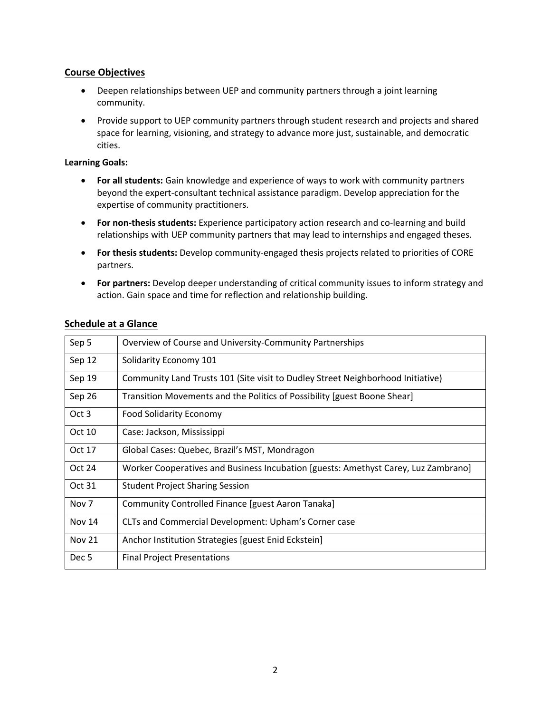### **Course Objectives**

- Deepen relationships between UEP and community partners through a joint learning community.
- Provide support to UEP community partners through student research and projects and shared space for learning, visioning, and strategy to advance more just, sustainable, and democratic cities.

#### **Learning Goals:**

- **For all students:** Gain knowledge and experience of ways to work with community partners beyond the expert-consultant technical assistance paradigm. Develop appreciation for the expertise of community practitioners.
- **For non-thesis students:** Experience participatory action research and co-learning and build relationships with UEP community partners that may lead to internships and engaged theses.
- **For thesis students:** Develop community-engaged thesis projects related to priorities of CORE partners.
- **For partners:** Develop deeper understanding of critical community issues to inform strategy and action. Gain space and time for reflection and relationship building.

| Sep 5            | Overview of Course and University-Community Partnerships                           |
|------------------|------------------------------------------------------------------------------------|
| Sep 12           | Solidarity Economy 101                                                             |
| Sep 19           | Community Land Trusts 101 (Site visit to Dudley Street Neighborhood Initiative)    |
| Sep 26           | Transition Movements and the Politics of Possibility [guest Boone Shear]           |
| Oct 3            | Food Solidarity Economy                                                            |
| Oct 10           | Case: Jackson, Mississippi                                                         |
| Oct 17           | Global Cases: Quebec, Brazil's MST, Mondragon                                      |
| Oct 24           | Worker Cooperatives and Business Incubation [guests: Amethyst Carey, Luz Zambrano] |
| Oct 31           | <b>Student Project Sharing Session</b>                                             |
| Nov <sub>7</sub> | Community Controlled Finance [guest Aaron Tanaka]                                  |
| <b>Nov 14</b>    | CLTs and Commercial Development: Upham's Corner case                               |
| <b>Nov 21</b>    | Anchor Institution Strategies [guest Enid Eckstein]                                |
| Dec <sub>5</sub> | <b>Final Project Presentations</b>                                                 |

#### **Schedule at a Glance**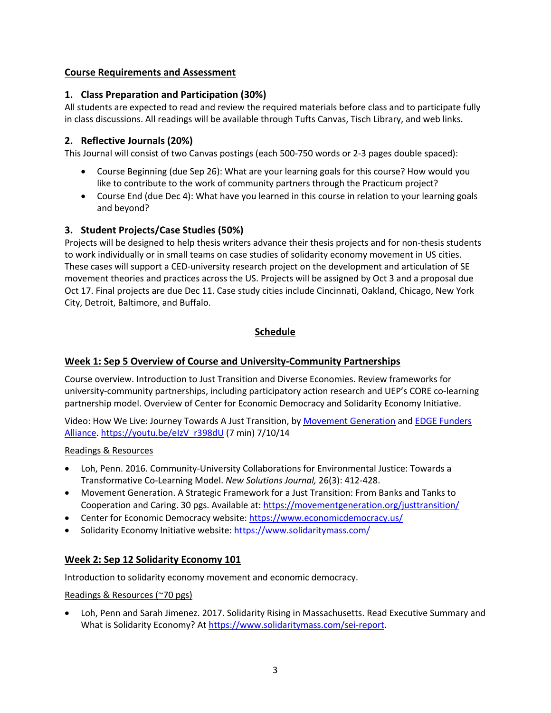## **Course Requirements and Assessment**

## **1. Class Preparation and Participation (30%)**

All students are expected to read and review the required materials before class and to participate fully in class discussions. All readings will be available through Tufts Canvas, Tisch Library, and web links.

# **2. Reflective Journals (20%)**

This Journal will consist of two Canvas postings (each 500-750 words or 2-3 pages double spaced):

- Course Beginning (due Sep 26): What are your learning goals for this course? How would you like to contribute to the work of community partners through the Practicum project?
- Course End (due Dec 4): What have you learned in this course in relation to your learning goals and beyond?

## **3. Student Projects/Case Studies (50%)**

Projects will be designed to help thesis writers advance their thesis projects and for non-thesis students to work individually or in small teams on case studies of solidarity economy movement in US cities. These cases will support a CED-university research project on the development and articulation of SE movement theories and practices across the US. Projects will be assigned by Oct 3 and a proposal due Oct 17. Final projects are due Dec 11. Case study cities include Cincinnati, Oakland, Chicago, New York City, Detroit, Baltimore, and Buffalo.

# **Schedule**

# **Week 1: Sep 5 Overview of Course and University-Community Partnerships**

Course overview. Introduction to Just Transition and Diverse Economies. Review frameworks for university-community partnerships, including participatory action research and UEP's CORE co-learning partnership model. Overview of Center for Economic Democracy and Solidarity Economy Initiative.

Video: How We Live: Journey Towards A Just Transition, by Movement Generation and EDGE Funders Alliance. https://youtu.be/eIzV\_r398dU (7 min) 7/10/14

#### Readings & Resources

- Loh, Penn. 2016. Community-University Collaborations for Environmental Justice: Towards a Transformative Co-Learning Model. *New Solutions Journal,* 26(3): 412-428.
- Movement Generation. A Strategic Framework for a Just Transition: From Banks and Tanks to Cooperation and Caring. 30 pgs. Available at: https://movementgeneration.org/justtransition/
- Center for Economic Democracy website: https://www.economicdemocracy.us/
- Solidarity Economy Initiative website: https://www.solidaritymass.com/

## **Week 2: Sep 12 Solidarity Economy 101**

Introduction to solidarity economy movement and economic democracy.

#### Readings & Resources (~70 pgs)

• Loh, Penn and Sarah Jimenez. 2017. Solidarity Rising in Massachusetts. Read Executive Summary and What is Solidarity Economy? At https://www.solidaritymass.com/sei-report.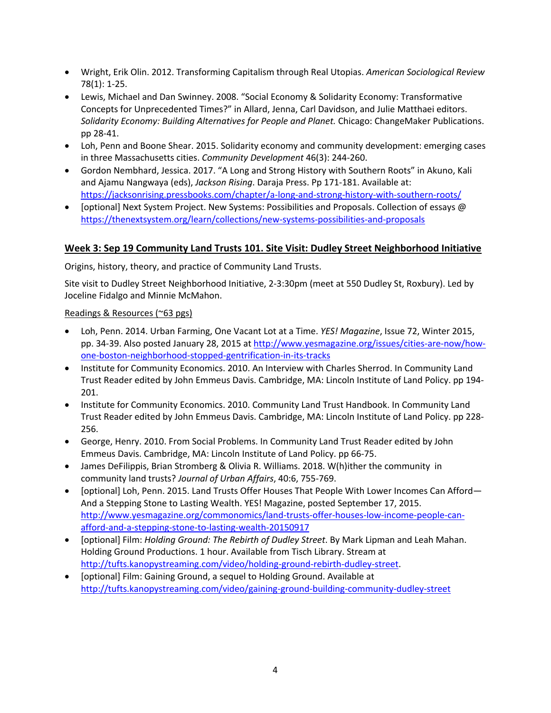- Wright, Erik Olin. 2012. Transforming Capitalism through Real Utopias. *American Sociological Review* 78(1): 1-25.
- Lewis, Michael and Dan Swinney. 2008. "Social Economy & Solidarity Economy: Transformative Concepts for Unprecedented Times?" in Allard, Jenna, Carl Davidson, and Julie Matthaei editors. *Solidarity Economy: Building Alternatives for People and Planet.* Chicago: ChangeMaker Publications. pp 28-41.
- Loh, Penn and Boone Shear. 2015. Solidarity economy and community development: emerging cases in three Massachusetts cities. *Community Development* 46(3): 244-260.
- Gordon Nembhard, Jessica. 2017. "A Long and Strong History with Southern Roots" in Akuno, Kali and Ajamu Nangwaya (eds), *Jackson Rising*. Daraja Press. Pp 171-181. Available at: https://jacksonrising.pressbooks.com/chapter/a-long-and-strong-history-with-southern-roots/
- [optional] Next System Project. New Systems: Possibilities and Proposals. Collection of essays @ https://thenextsystem.org/learn/collections/new-systems-possibilities-and-proposals

## **Week 3: Sep 19 Community Land Trusts 101. Site Visit: Dudley Street Neighborhood Initiative**

Origins, history, theory, and practice of Community Land Trusts.

Site visit to Dudley Street Neighborhood Initiative, 2-3:30pm (meet at 550 Dudley St, Roxbury). Led by Joceline Fidalgo and Minnie McMahon.

#### Readings & Resources (~63 pgs)

- Loh, Penn. 2014. Urban Farming, One Vacant Lot at a Time. *YES! Magazine*, Issue 72, Winter 2015, pp. 34-39. Also posted January 28, 2015 at http://www.yesmagazine.org/issues/cities-are-now/howone-boston-neighborhood-stopped-gentrification-in-its-tracks
- Institute for Community Economics. 2010. An Interview with Charles Sherrod. In Community Land Trust Reader edited by John Emmeus Davis. Cambridge, MA: Lincoln Institute of Land Policy. pp 194- 201.
- Institute for Community Economics. 2010. Community Land Trust Handbook. In Community Land Trust Reader edited by John Emmeus Davis. Cambridge, MA: Lincoln Institute of Land Policy. pp 228- 256.
- George, Henry. 2010. From Social Problems. In Community Land Trust Reader edited by John Emmeus Davis. Cambridge, MA: Lincoln Institute of Land Policy. pp 66-75.
- James DeFilippis, Brian Stromberg & Olivia R. Williams. 2018. W(h)ither the community in community land trusts? *Journal of Urban Affairs*, 40:6, 755-769.
- [optional] Loh, Penn. 2015. Land Trusts Offer Houses That People With Lower Incomes Can Afford— And a Stepping Stone to Lasting Wealth. YES! Magazine, posted September 17, 2015. http://www.yesmagazine.org/commonomics/land-trusts-offer-houses-low-income-people-canafford-and-a-stepping-stone-to-lasting-wealth-20150917
- [optional] Film: *Holding Ground: The Rebirth of Dudley Street*. By Mark Lipman and Leah Mahan. Holding Ground Productions. 1 hour. Available from Tisch Library. Stream at http://tufts.kanopystreaming.com/video/holding-ground-rebirth-dudley-street.
- [optional] Film: Gaining Ground, a sequel to Holding Ground. Available at http://tufts.kanopystreaming.com/video/gaining-ground-building-community-dudley-street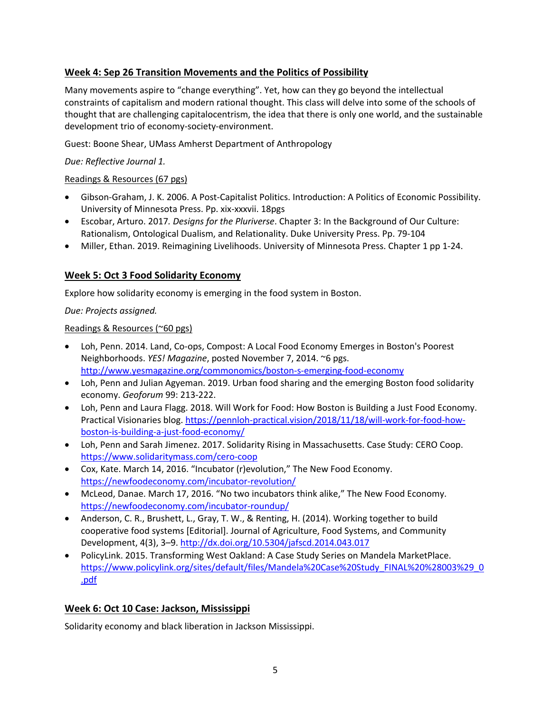# **Week 4: Sep 26 Transition Movements and the Politics of Possibility**

Many movements aspire to "change everything". Yet, how can they go beyond the intellectual constraints of capitalism and modern rational thought. This class will delve into some of the schools of thought that are challenging capitalocentrism, the idea that there is only one world, and the sustainable development trio of economy-society-environment.

Guest: Boone Shear, UMass Amherst Department of Anthropology

*Due: Reflective Journal 1.*

#### Readings & Resources (67 pgs)

- Gibson-Graham, J. K. 2006. A Post-Capitalist Politics. Introduction: A Politics of Economic Possibility. University of Minnesota Press. Pp. xix-xxxvii. 18pgs
- Escobar, Arturo. 2017*. Designs for the Pluriverse*. Chapter 3: In the Background of Our Culture: Rationalism, Ontological Dualism, and Relationality. Duke University Press. Pp. 79-104
- Miller, Ethan. 2019. Reimagining Livelihoods. University of Minnesota Press. Chapter 1 pp 1-24.

## **Week 5: Oct 3 Food Solidarity Economy**

Explore how solidarity economy is emerging in the food system in Boston.

*Due: Projects assigned.*

### Readings & Resources (~60 pgs)

- Loh, Penn. 2014. Land, Co-ops, Compost: A Local Food Economy Emerges in Boston's Poorest Neighborhoods. *YES! Magazine*, posted November 7, 2014. ~6 pgs. http://www.yesmagazine.org/commonomics/boston-s-emerging-food-economy
- Loh, Penn and Julian Agyeman. 2019. Urban food sharing and the emerging Boston food solidarity economy. *Geoforum* 99: 213-222.
- Loh, Penn and Laura Flagg. 2018. Will Work for Food: How Boston is Building a Just Food Economy. Practical Visionaries blog. https://pennloh-practical.vision/2018/11/18/will-work-for-food-howboston-is-building-a-just-food-economy/
- Loh, Penn and Sarah Jimenez. 2017. Solidarity Rising in Massachusetts. Case Study: CERO Coop. https://www.solidaritymass.com/cero-coop
- Cox, Kate. March 14, 2016. "Incubator (r)evolution," The New Food Economy. https://newfoodeconomy.com/incubator-revolution/
- McLeod, Danae. March 17, 2016. "No two incubators think alike," The New Food Economy. https://newfoodeconomy.com/incubator-roundup/
- Anderson, C. R., Brushett, L., Gray, T. W., & Renting, H. (2014). Working together to build cooperative food systems [Editorial]. Journal of Agriculture, Food Systems, and Community Development, 4(3), 3–9. http://dx.doi.org/10.5304/jafscd.2014.043.017
- PolicyLink. 2015. Transforming West Oakland: A Case Study Series on Mandela MarketPlace. https://www.policylink.org/sites/default/files/Mandela%20Case%20Study\_FINAL%20%28003%29\_0 .pdf

# **Week 6: Oct 10 Case: Jackson, Mississippi**

Solidarity economy and black liberation in Jackson Mississippi.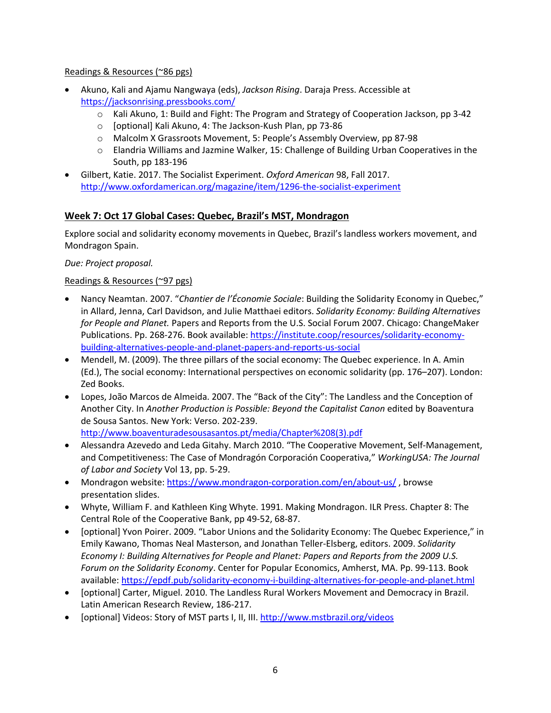## Readings & Resources (~86 pgs)

- Akuno, Kali and Ajamu Nangwaya (eds), *Jackson Rising*. Daraja Press. Accessible at https://jacksonrising.pressbooks.com/
	- o Kali Akuno, 1: Build and Fight: The Program and Strategy of Cooperation Jackson, pp 3-42
	- o [optional] Kali Akuno, 4: The Jackson-Kush Plan, pp 73-86
	- o Malcolm X Grassroots Movement, 5: People's Assembly Overview, pp 87-98
	- o Elandria Williams and Jazmine Walker, 15: Challenge of Building Urban Cooperatives in the South, pp 183-196
- Gilbert, Katie. 2017. The Socialist Experiment. *Oxford American* 98, Fall 2017. http://www.oxfordamerican.org/magazine/item/1296-the-socialist-experiment

## **Week 7: Oct 17 Global Cases: Quebec, Brazil's MST, Mondragon**

Explore social and solidarity economy movements in Quebec, Brazil's landless workers movement, and Mondragon Spain.

*Due: Project proposal.*

#### Readings & Resources (~97 pgs)

- Nancy Neamtan. 2007. "*Chantier de l'Économie Sociale*: Building the Solidarity Economy in Quebec," in Allard, Jenna, Carl Davidson, and Julie Matthaei editors. *Solidarity Economy: Building Alternatives for People and Planet.* Papers and Reports from the U.S. Social Forum 2007. Chicago: ChangeMaker Publications. Pp. 268-276. Book available: https://institute.coop/resources/solidarity-economybuilding-alternatives-people-and-planet-papers-and-reports-us-social
- Mendell, M. (2009). The three pillars of the social economy: The Quebec experience. In A. Amin (Ed.), The social economy: International perspectives on economic solidarity (pp. 176–207). London: Zed Books.
- Lopes, João Marcos de Almeida. 2007. The "Back of the City": The Landless and the Conception of Another City. In *Another Production is Possible: Beyond the Capitalist Canon* edited by Boaventura de Sousa Santos. New York: Verso. 202-239. http://www.boaventuradesousasantos.pt/media/Chapter%208(3).pdf
- Alessandra Azevedo and Leda Gitahy. March 2010. "The Cooperative Movement, Self-Management, and Competitiveness: The Case of Mondragón Corporación Cooperativa," *WorkingUSA: The Journal of Labor and Society* Vol 13, pp. 5-29.
- Mondragon website: https://www.mondragon-corporation.com/en/about-us/, browse presentation slides.
- Whyte, William F. and Kathleen King Whyte. 1991. Making Mondragon. ILR Press. Chapter 8: The Central Role of the Cooperative Bank, pp 49-52, 68-87.
- [optional] Yvon Poirer. 2009. "Labor Unions and the Solidarity Economy: The Quebec Experience," in Emily Kawano, Thomas Neal Masterson, and Jonathan Teller-Elsberg, editors. 2009. *Solidarity Economy I: Building Alternatives for People and Planet: Papers and Reports from the 2009 U.S. Forum on the Solidarity Economy*. Center for Popular Economics, Amherst, MA. Pp. 99-113. Book available: https://epdf.pub/solidarity-economy-i-building-alternatives-for-people-and-planet.html
- [optional] Carter, Miguel. 2010. The Landless Rural Workers Movement and Democracy in Brazil. Latin American Research Review, 186-217.
- [optional] Videos: Story of MST parts I, II, III. http://www.mstbrazil.org/videos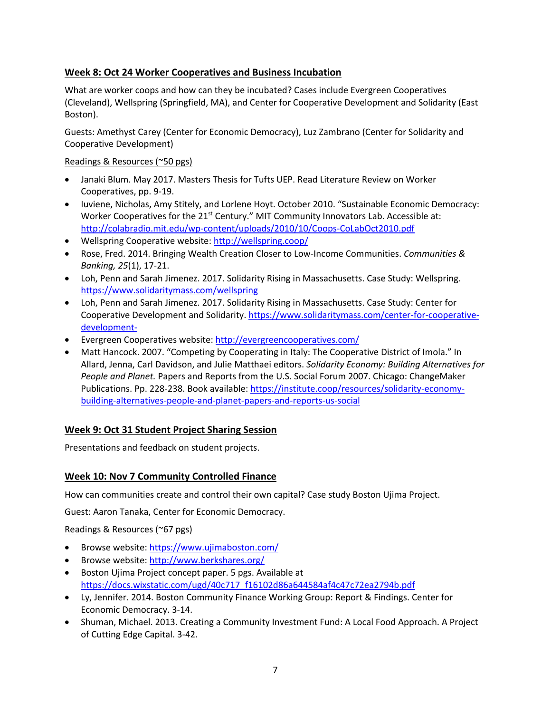# **Week 8: Oct 24 Worker Cooperatives and Business Incubation**

What are worker coops and how can they be incubated? Cases include Evergreen Cooperatives (Cleveland), Wellspring (Springfield, MA), and Center for Cooperative Development and Solidarity (East Boston).

Guests: Amethyst Carey (Center for Economic Democracy), Luz Zambrano (Center for Solidarity and Cooperative Development)

## Readings & Resources (~50 pgs)

- Janaki Blum. May 2017. Masters Thesis for Tufts UEP. Read Literature Review on Worker Cooperatives, pp. 9-19.
- Iuviene, Nicholas, Amy Stitely, and Lorlene Hoyt. October 2010. "Sustainable Economic Democracy: Worker Cooperatives for the 21<sup>st</sup> Century." MIT Community Innovators Lab. Accessible at: http://colabradio.mit.edu/wp-content/uploads/2010/10/Coops-CoLabOct2010.pdf
- Wellspring Cooperative website: http://wellspring.coop/
- Rose, Fred. 2014. Bringing Wealth Creation Closer to Low-Income Communities. *Communities & Banking, 25*(1), 17-21.
- Loh, Penn and Sarah Jimenez. 2017. Solidarity Rising in Massachusetts. Case Study: Wellspring. https://www.solidaritymass.com/wellspring
- Loh, Penn and Sarah Jimenez. 2017. Solidarity Rising in Massachusetts. Case Study: Center for Cooperative Development and Solidarity. https://www.solidaritymass.com/center-for-cooperativedevelopment-
- Evergreen Cooperatives website: http://evergreencooperatives.com/
- Matt Hancock. 2007. "Competing by Cooperating in Italy: The Cooperative District of Imola." In Allard, Jenna, Carl Davidson, and Julie Matthaei editors. *Solidarity Economy: Building Alternatives for People and Planet.* Papers and Reports from the U.S. Social Forum 2007. Chicago: ChangeMaker Publications. Pp. 228-238. Book available: https://institute.coop/resources/solidarity-economybuilding-alternatives-people-and-planet-papers-and-reports-us-social

# **Week 9: Oct 31 Student Project Sharing Session**

Presentations and feedback on student projects.

# **Week 10: Nov 7 Community Controlled Finance**

How can communities create and control their own capital? Case study Boston Ujima Project.

Guest: Aaron Tanaka, Center for Economic Democracy.

Readings & Resources (~67 pgs)

- Browse website: https://www.ujimaboston.com/
- Browse website: http://www.berkshares.org/
- Boston Ujima Project concept paper. 5 pgs. Available at https://docs.wixstatic.com/ugd/40c717\_f16102d86a644584af4c47c72ea2794b.pdf
- Ly, Jennifer. 2014. Boston Community Finance Working Group: Report & Findings. Center for Economic Democracy. 3-14.
- Shuman, Michael. 2013. Creating a Community Investment Fund: A Local Food Approach. A Project of Cutting Edge Capital. 3-42.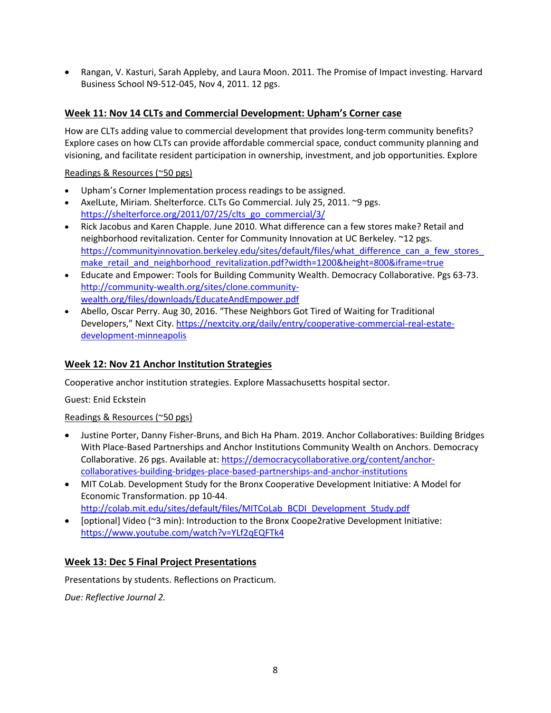• Rangan, V. Kasturi, Sarah Appleby, and Laura Moon. 2011. The Promise of Impact investing. Harvard Business School N9-512-045, Nov 4, 2011. 12 pgs.

## **Week 11: Nov 14 CLTs and Commercial Development: Upham's Corner case**

How are CLTs adding value to commercial development that provides long-term community benefits? Explore cases on how CLTs can provide affordable commercial space, conduct community planning and visioning, and facilitate resident participation in ownership, investment, and job opportunities. Explore

Readings & Resources (~50 pgs)

- Upham's Corner Implementation process readings to be assigned.
- AxelLute, Miriam. Shelterforce. CLTs Go Commercial. July 25, 2011. ~9 pgs. https://shelterforce.org/2011/07/25/clts\_go\_commercial/3/
- Rick Jacobus and Karen Chapple. June 2010. What difference can a few stores make? Retail and neighborhood revitalization. Center for Community Innovation at UC Berkeley. ~12 pgs. https://communityinnovation.berkeley.edu/sites/default/files/what\_difference\_can\_a\_few\_stores make retail and neighborhood revitalization.pdf?width=1200&height=800&iframe=true
- Educate and Empower: Tools for Building Community Wealth. Democracy Collaborative. Pgs 63-73. http://community-wealth.org/sites/clone.communitywealth.org/files/downloads/EducateAndEmpower.pdf
- Abello, Oscar Perry. Aug 30, 2016. "These Neighbors Got Tired of Waiting for Traditional Developers," Next City. https://nextcity.org/daily/entry/cooperative-commercial-real-estatedevelopment-minneapolis

## **Week 12: Nov 21 Anchor Institution Strategies**

Cooperative anchor institution strategies. Explore Massachusetts hospital sector.

Guest: Enid Eckstein

Readings & Resources (~50 pgs)

- Justine Porter, Danny Fisher-Bruns, and Bich Ha Pham. 2019. Anchor Collaboratives: Building Bridges With Place-Based Partnerships and Anchor Institutions Community Wealth on Anchors. Democracy Collaborative. 26 pgs. Available at: https://democracycollaborative.org/content/anchorcollaboratives-building-bridges-place-based-partnerships-and-anchor-institutions
- MIT CoLab. Development Study for the Bronx Cooperative Development Initiative: A Model for Economic Transformation. pp 10-44.
- http://colab.mit.edu/sites/default/files/MITCoLab\_BCDI\_Development\_Study.pdf • [optional] Video (~3 min): Introduction to the Bronx Coope2rative Development Initiative:
- https://www.youtube.com/watch?v=YLf2qEQFTk4

# **Week 13: Dec 5 Final Project Presentations**

Presentations by students. Reflections on Practicum.

*Due: Reflective Journal 2.*